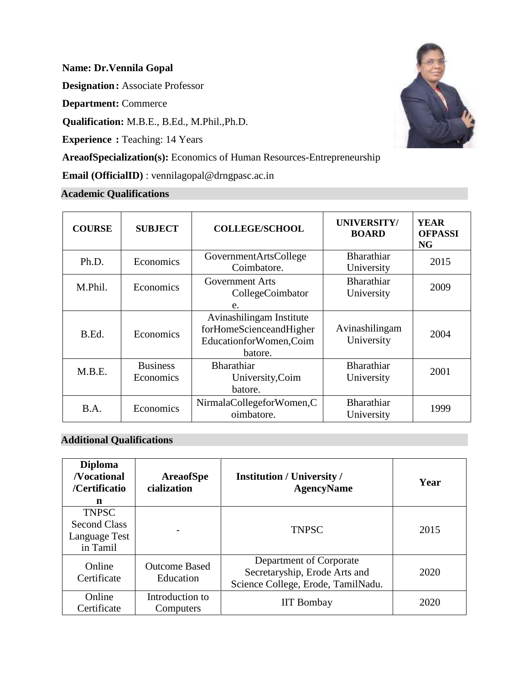## **Name: Dr.Vennila Gopal**

**Designation:** Associate Professor

**Department:** Commerce

**Qualification:** M.B.E., B.Ed., M.Phil.,Ph.D.

**Experience :** Teaching: 14 Years

**AreaofSpecialization(s):** Economics of Human Resources-Entrepreneurship

**Email (OfficialID)** : vennilagopal@drngpasc.ac.in

# **Academic Qualifications**

| <b>COURSE</b> | <b>SUBJECT</b>               | <b>COLLEGE/SCHOOL</b>                                                                     | <b>UNIVERSITY/</b><br><b>BOARD</b> | <b>YEAR</b><br><b>OFPASSI</b><br><b>NG</b> |
|---------------|------------------------------|-------------------------------------------------------------------------------------------|------------------------------------|--------------------------------------------|
| Ph.D.         | Economics                    | GovernmentArtsCollege<br>Coimbatore.                                                      | <b>Bharathiar</b><br>University    | 2015                                       |
| M.Phil.       | Economics                    | <b>Government Arts</b><br>CollegeCoimbator<br>e.                                          | <b>Bharathiar</b><br>University    | 2009                                       |
| B.Ed.         | Economics                    | Avinashilingam Institute<br>forHomeScienceandHigher<br>EducationforWomen, Coim<br>batore. | Avinashilingam<br>University       | 2004                                       |
| M.B.E.        | <b>Business</b><br>Economics | <b>Bharathiar</b><br>University, Coim<br>batore.                                          | <b>Bharathiar</b><br>University    | 2001                                       |
| B.A.          | Economics                    | NirmalaCollegeforWomen,C<br>oimbatore.                                                    | <b>Bharathiar</b><br>University    | 1999                                       |

## **Additional Qualifications**

| <b>Diploma</b><br><b>Nocational</b><br>/Certificatio<br>n        | <b>AreaofSpe</b><br>cialization   | <b>Institution / University /</b><br><b>AgencyName</b>                                         | Year |
|------------------------------------------------------------------|-----------------------------------|------------------------------------------------------------------------------------------------|------|
| <b>TNPSC</b><br><b>Second Class</b><br>Language Test<br>in Tamil |                                   | <b>TNPSC</b>                                                                                   | 2015 |
| Online<br>Certificate                                            | <b>Outcome Based</b><br>Education | Department of Corporate<br>Secretaryship, Erode Arts and<br>Science College, Erode, TamilNadu. | 2020 |
| Online<br>Certificate                                            | Introduction to<br>Computers      | <b>IIT Bombay</b>                                                                              | 2020 |

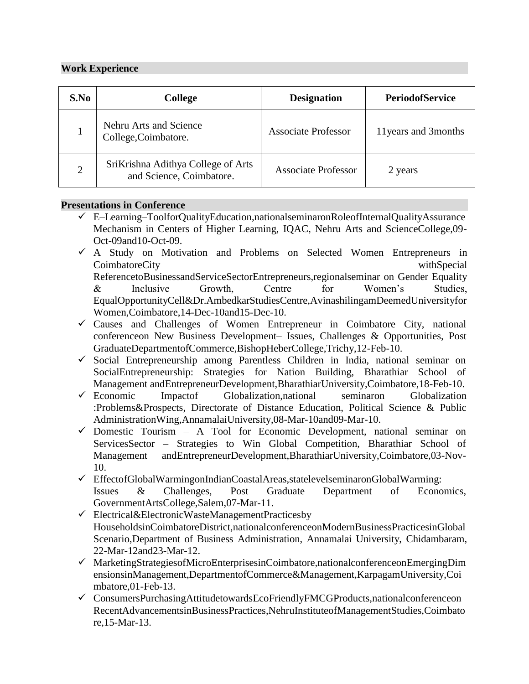### **Work Experience**

| S.No | <b>College</b>                                                 | <b>Designation</b>         | <b>PeriodofService</b> |
|------|----------------------------------------------------------------|----------------------------|------------------------|
|      | Nehru Arts and Science<br>College, Coimbatore.                 | <b>Associate Professor</b> | 11 years and 3 months  |
|      | SriKrishna Adithya College of Arts<br>and Science, Coimbatore. | <b>Associate Professor</b> | 2 years                |

### **Presentations in Conference**

- ✓ E–Learning–ToolforQualityEducation,nationalseminaronRoleofInternalQualityAssurance Mechanism in Centers of Higher Learning, IQAC, Nehru Arts and ScienceCollege,09- Oct-09and10-Oct-09.
- $\checkmark$  A Study on Motivation and Problems on Selected Women Entrepreneurs in CoimbatoreCity withSpecial ReferencetoBusinessandServiceSectorEntrepreneurs,regionalseminar on Gender Equality & Inclusive Growth, Centre for Women's Studies, EqualOpportunityCell&Dr.AmbedkarStudiesCentre,AvinashilingamDeemedUniversityfor Women,Coimbatore,14-Dec-10and15-Dec-10.
- $\checkmark$  Causes and Challenges of Women Entrepreneur in Coimbatore City, national conferenceon New Business Development– Issues, Challenges & Opportunities, Post GraduateDepartmentofCommerce,BishopHeberCollege,Trichy,12-Feb-10.
- ✓ Social Entrepreneurship among Parentless Children in India, national seminar on SocialEntrepreneurship: Strategies for Nation Building, Bharathiar School of Management andEntrepreneurDevelopment,BharathiarUniversity,Coimbatore,18-Feb-10.
- ✓ Economic Impactof Globalization,national seminaron Globalization :Problems&Prospects, Directorate of Distance Education, Political Science & Public AdministrationWing,AnnamalaiUniversity,08-Mar-10and09-Mar-10.
- $\checkmark$  Domestic Tourism A Tool for Economic Development, national seminar on ServicesSector – Strategies to Win Global Competition, Bharathiar School of Management andEntrepreneurDevelopment,BharathiarUniversity,Coimbatore,03-Nov-10.
- ✓ EffectofGlobalWarmingonIndianCoastalAreas,statelevelseminaronGlobalWarming: Issues & Challenges, Post Graduate Department of Economics, GovernmentArtsCollege,Salem,07-Mar-11.
- $\checkmark$  Electrical&ElectronicWasteManagementPracticesby HouseholdsinCoimbatoreDistrict,nationalconferenceonModernBusinessPracticesinGlobal Scenario,Department of Business Administration, Annamalai University, Chidambaram, 22-Mar-12and23-Mar-12.
- ✓ MarketingStrategiesofMicroEnterprisesinCoimbatore,nationalconferenceonEmergingDim ensionsinManagement,DepartmentofCommerce&Management,KarpagamUniversity,Coi mbatore,01-Feb-13.
- ✓ ConsumersPurchasingAttitudetowardsEcoFriendlyFMCGProducts,nationalconferenceon RecentAdvancementsinBusinessPractices,NehruInstituteofManagementStudies,Coimbato re,15-Mar-13.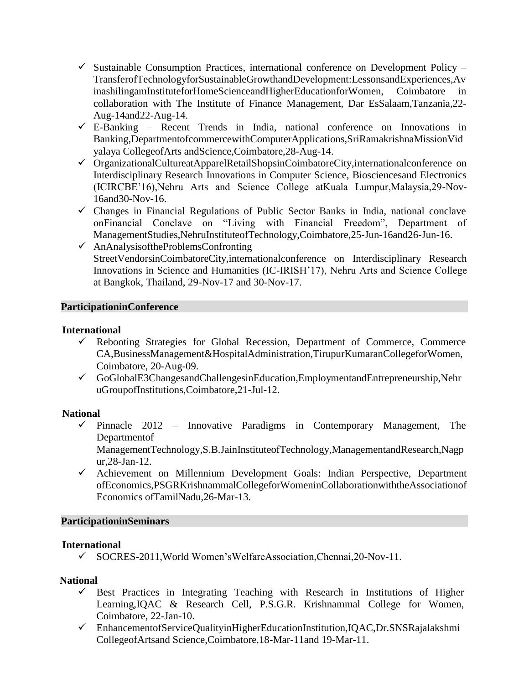- $\checkmark$  Sustainable Consumption Practices, international conference on Development Policy TransferofTechnologyforSustainableGrowthandDevelopment:LessonsandExperiences,Av inashilingamInstituteforHomeScienceandHigherEducationforWomen, Coimbatore in collaboration with The Institute of Finance Management, Dar EsSalaam,Tanzania,22- Aug-14and22-Aug-14.
- $\checkmark$  E-Banking Recent Trends in India, national conference on Innovations in Banking,DepartmentofcommercewithComputerApplications,SriRamakrishnaMissionVid yalaya CollegeofArts andScience,Coimbatore,28-Aug-14.
- ✓ OrganizationalCultureatApparelRetailShopsinCoimbatoreCity,internationalconference on Interdisciplinary Research Innovations in Computer Science, Biosciencesand Electronics (ICIRCBE'16),Nehru Arts and Science College atKuala Lumpur,Malaysia,29-Nov-16and30-Nov-16.
- $\checkmark$  Changes in Financial Regulations of Public Sector Banks in India, national conclave onFinancial Conclave on "Living with Financial Freedom", Department of ManagementStudies,NehruInstituteofTechnology,Coimbatore,25-Jun-16and26-Jun-16.
- $\checkmark$  AnAnalysisoftheProblemsConfronting StreetVendorsinCoimbatoreCity,internationalconference on Interdisciplinary Research Innovations in Science and Humanities (IC-IRISH'17), Nehru Arts and Science College at Bangkok, Thailand, 29-Nov-17 and 30-Nov-17.

### **ParticipationinConference**

### **International**

- $\checkmark$  Rebooting Strategies for Global Recession, Department of Commerce, Commerce CA,BusinessManagement&HospitalAdministration,TirupurKumaranCollegeforWomen, Coimbatore, 20-Aug-09.
- ✓ GoGlobalE3ChangesandChallengesinEducation,EmploymentandEntrepreneurship,Nehr uGroupofInstitutions,Coimbatore,21-Jul-12.

## **National**

 $\checkmark$  Pinnacle 2012 – Innovative Paradigms in Contemporary Management, The Departmentof

ManagementTechnology,S.B.JainInstituteofTechnology,ManagementandResearch,Nagp ur,28-Jan-12.

✓ Achievement on Millennium Development Goals: Indian Perspective, Department ofEconomics,PSGRKrishnammalCollegeforWomeninCollaborationwiththeAssociationof Economics ofTamilNadu,26-Mar-13.

## **ParticipationinSeminars**

#### **International**

✓ SOCRES-2011,World Women'sWelfareAssociation,Chennai,20-Nov-11.

## **National**

- ✓ Best Practices in Integrating Teaching with Research in Institutions of Higher Learning,IQAC & Research Cell, P.S.G.R. Krishnammal College for Women, Coimbatore, 22-Jan-10.
- ✓ EnhancementofServiceQualityinHigherEducationInstitution,IQAC,Dr.SNSRajalakshmi CollegeofArtsand Science,Coimbatore,18-Mar-11and 19-Mar-11.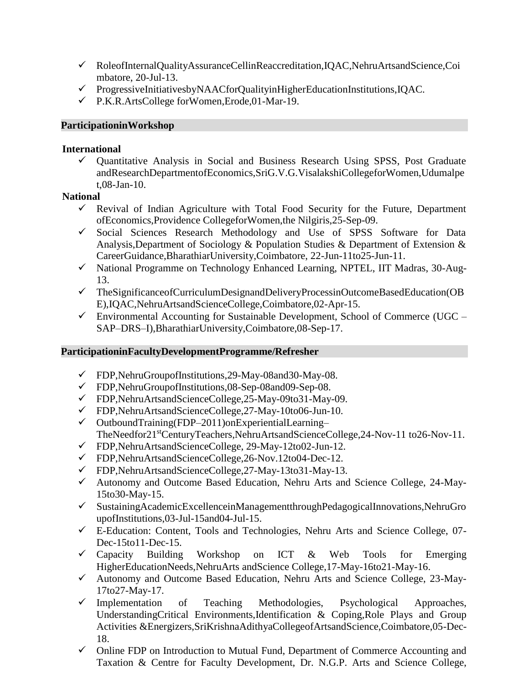- ✓ RoleofInternalQualityAssuranceCellinReaccreditation,IQAC,NehruArtsandScience,Coi mbatore, 20-Jul-13.
- ✓ ProgressiveInitiativesbyNAACforQualityinHigherEducationInstitutions,IQAC.
- ✓ P.K.R.ArtsCollege forWomen,Erode,01-Mar-19.

### **ParticipationinWorkshop**

#### **International**

✓ Quantitative Analysis in Social and Business Research Using SPSS, Post Graduate andResearchDepartmentofEconomics,SriG.V.G.VisalakshiCollegeforWomen,Udumalpe t,08-Jan-10.

## **National**

- $\checkmark$  Revival of Indian Agriculture with Total Food Security for the Future, Department ofEconomics,Providence CollegeforWomen,the Nilgiris,25-Sep-09.
- ✓ Social Sciences Research Methodology and Use of SPSS Software for Data Analysis,Department of Sociology & Population Studies & Department of Extension & CareerGuidance,BharathiarUniversity,Coimbatore, 22-Jun-11to25-Jun-11.
- ✓ National Programme on Technology Enhanced Learning, NPTEL, IIT Madras, 30-Aug-13.
- ✓ TheSignificanceofCurriculumDesignandDeliveryProcessinOutcomeBasedEducation(OB E),IQAC,NehruArtsandScienceCollege,Coimbatore,02-Apr-15.
- $\checkmark$  Environmental Accounting for Sustainable Development, School of Commerce (UGC SAP–DRS–I),BharathiarUniversity,Coimbatore,08-Sep-17.

## **ParticipationinFacultyDevelopmentProgramme/Refresher**

- ✓ FDP,NehruGroupofInstitutions,29-May-08and30-May-08.
- ✓ FDP,NehruGroupofInstitutions,08-Sep-08and09-Sep-08.
- ✓ FDP,NehruArtsandScienceCollege,25-May-09to31-May-09.
- ✓ FDP,NehruArtsandScienceCollege,27-May-10to06-Jun-10.
- $\checkmark$  OutboundTraining(FDP–2011)onExperientialLearning– TheNeedfor21<sup>st</sup>CenturyTeachers,NehruArtsandScienceCollege,24-Nov-11 to26-Nov-11.
- ✓ FDP,NehruArtsandScienceCollege, 29-May-12to02-Jun-12.
- ✓ FDP,NehruArtsandScienceCollege,26-Nov.12to04-Dec-12.
- ✓ FDP,NehruArtsandScienceCollege,27-May-13to31-May-13.
- ✓ Autonomy and Outcome Based Education, Nehru Arts and Science College, 24-May-15to30-May-15.
- ✓ SustainingAcademicExcellenceinManagementthroughPedagogicalInnovations,NehruGro upofInstitutions,03-Jul-15and04-Jul-15.
- ✓ E-Education: Content, Tools and Technologies, Nehru Arts and Science College, 07- Dec-15to11-Dec-15.
- ✓ Capacity Building Workshop on ICT & Web Tools for Emerging HigherEducationNeeds,NehruArts andScience College,17-May-16to21-May-16.
- ✓ Autonomy and Outcome Based Education, Nehru Arts and Science College, 23-May-17to27-May-17.
- ✓ Implementation of Teaching Methodologies, Psychological Approaches, UnderstandingCritical Environments,Identification & Coping,Role Plays and Group Activities &Energizers,SriKrishnaAdithyaCollegeofArtsandScience,Coimbatore,05-Dec-18.
- ✓ Online FDP on Introduction to Mutual Fund, Department of Commerce Accounting and Taxation & Centre for Faculty Development, Dr. N.G.P. Arts and Science College,